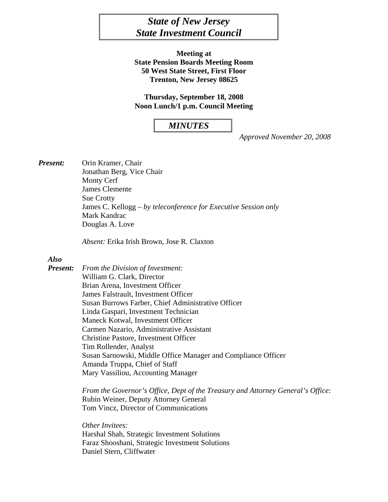# *State of New Jersey State Investment Council*

**Meeting at State Pension Boards Meeting Room 50 West State Street, First Floor Trenton, New Jersey 08625** 

**Thursday, September 18, 2008 Noon Lunch/1 p.m. Council Meeting** 

#### *MINUTES*

*Approved November 20, 2008* 

*Present:* Orin Kramer, Chair Jonathan Berg, Vice Chair Monty Cerf James Clemente Sue Crotty James C. Kellogg – *by teleconference for Executive Session only*  Mark Kandrac Douglas A. Love

*Absent:* Erika Irish Brown, Jose R. Claxton

#### *Also*

*Present: From the Division of Investment:*  William G. Clark, Director Brian Arena, Investment Officer James Falstrault, Investment Officer Susan Burrows Farber, Chief Administrative Officer Linda Gaspari, Investment Technician Maneck Kotwal, Investment Officer Carmen Nazario, Administrative Assistant Christine Pastore, Investment Officer Tim Rollender, Analyst Susan Sarnowski, Middle Office Manager and Compliance Officer Amanda Truppa, Chief of Staff Mary Vassiliou, Accounting Manager

> *From the Governor's Office, Dept of the Treasury and Attorney General's Office:*  Rubin Weiner, Deputy Attorney General Tom Vincz, Director of Communications

*Other Invitees:* Harshal Shah, Strategic Investment Solutions Faraz Shooshani, Strategic Investment Solutions Daniel Stern, Cliffwater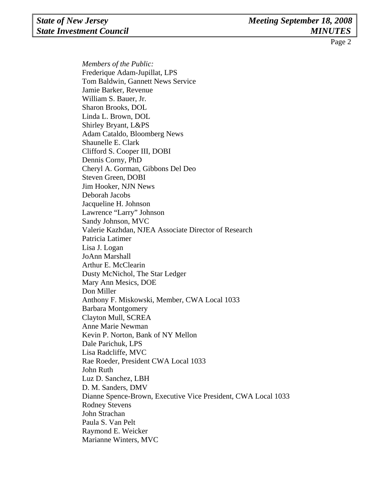*Members of the Public:* Frederique Adam-Jupillat, LPS Tom Baldwin, Gannett News Service Jamie Barker, Revenue William S. Bauer, Jr. Sharon Brooks, DOL Linda L. Brown, DOL Shirley Bryant, L&PS Adam Cataldo, Bloomberg News Shaunelle E. Clark Clifford S. Cooper III, DOBI Dennis Corny, PhD Cheryl A. Gorman, Gibbons Del Deo Steven Green, DOBI Jim Hooker, NJN News Deborah Jacobs Jacqueline H. Johnson Lawrence "Larry" Johnson Sandy Johnson, MVC Valerie Kazhdan, NJEA Associate Director of Research Patricia Latimer Lisa J. Logan JoAnn Marshall Arthur E. McClearin Dusty McNichol, The Star Ledger Mary Ann Mesics, DOE Don Miller Anthony F. Miskowski, Member, CWA Local 1033 Barbara Montgomery Clayton Mull, SCREA Anne Marie Newman Kevin P. Norton, Bank of NY Mellon Dale Parichuk, LPS Lisa Radcliffe, MVC Rae Roeder, President CWA Local 1033 John Ruth Luz D. Sanchez, LBH D. M. Sanders, DMV Dianne Spence-Brown, Executive Vice President, CWA Local 1033 Rodney Stevens John Strachan Paula S. Van Pelt Raymond E. Weicker Marianne Winters, MVC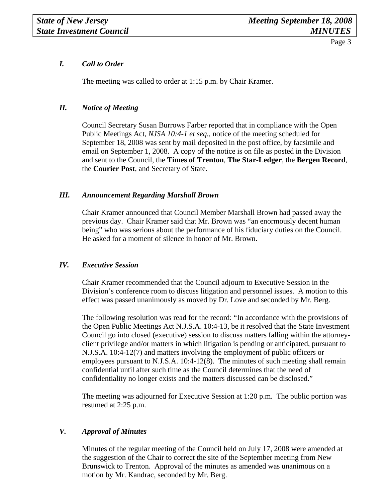# *I. Call to Order*

The meeting was called to order at 1:15 p.m. by Chair Kramer.

## *II. Notice of Meeting*

Council Secretary Susan Burrows Farber reported that in compliance with the Open Public Meetings Act, *NJSA 10:4-1 et seq.,* notice of the meeting scheduled for September 18, 2008 was sent by mail deposited in the post office, by facsimile and email on September 1, 2008. A copy of the notice is on file as posted in the Division and sent to the Council, the **Times of Trenton**, **The Star-Ledger**, the **Bergen Record**, the **Courier Post**, and Secretary of State.

## *III. Announcement Regarding Marshall Brown*

Chair Kramer announced that Council Member Marshall Brown had passed away the previous day. Chair Kramer said that Mr. Brown was "an enormously decent human being" who was serious about the performance of his fiduciary duties on the Council. He asked for a moment of silence in honor of Mr. Brown.

## *IV. Executive Session*

Chair Kramer recommended that the Council adjourn to Executive Session in the Division's conference room to discuss litigation and personnel issues. A motion to this effect was passed unanimously as moved by Dr. Love and seconded by Mr. Berg.

The following resolution was read for the record: "In accordance with the provisions of the Open Public Meetings Act N.J.S.A. 10:4-13, be it resolved that the State Investment Council go into closed (executive) session to discuss matters falling within the attorneyclient privilege and/or matters in which litigation is pending or anticipated, pursuant to N.J.S.A. 10:4-12(7) and matters involving the employment of public officers or employees pursuant to N.J.S.A. 10:4-12(8). The minutes of such meeting shall remain confidential until after such time as the Council determines that the need of confidentiality no longer exists and the matters discussed can be disclosed."

The meeting was adjourned for Executive Session at 1:20 p.m. The public portion was resumed at 2:25 p.m.

# *V. Approval of Minutes*

Minutes of the regular meeting of the Council held on July 17, 2008 were amended at the suggestion of the Chair to correct the site of the September meeting from New Brunswick to Trenton. Approval of the minutes as amended was unanimous on a motion by Mr. Kandrac, seconded by Mr. Berg.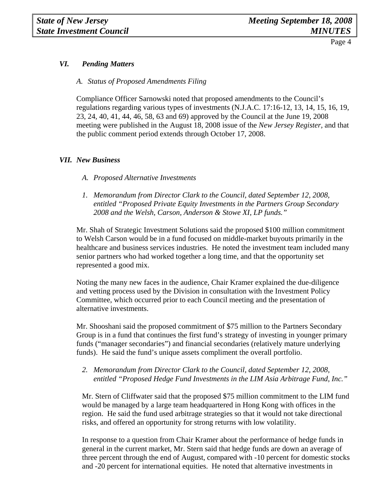# *VI. Pending Matters*

*A. Status of Proposed Amendments Filing* 

Compliance Officer Sarnowski noted that proposed amendments to the Council's regulations regarding various types of investments (N.J.A.C. 17:16-12, 13, 14, 15, 16, 19, 23, 24, 40, 41, 44, 46, 58, 63 and 69) approved by the Council at the June 19, 2008 meeting were published in the August 18, 2008 issue of the *New Jersey Register,* and that the public comment period extends through October 17, 2008.

#### *VII. New Business*

- *A. Proposed Alternative Investments*
- *1. Memorandum from Director Clark to the Council, dated September 12, 2008, entitled "Proposed Private Equity Investments in the Partners Group Secondary 2008 and the Welsh, Carson, Anderson & Stowe XI, LP funds."*

Mr. Shah of Strategic Investment Solutions said the proposed \$100 million commitment to Welsh Carson would be in a fund focused on middle-market buyouts primarily in the healthcare and business services industries. He noted the investment team included many senior partners who had worked together a long time, and that the opportunity set represented a good mix.

Noting the many new faces in the audience, Chair Kramer explained the due-diligence and vetting process used by the Division in consultation with the Investment Policy Committee, which occurred prior to each Council meeting and the presentation of alternative investments.

Mr. Shooshani said the proposed commitment of \$75 million to the Partners Secondary Group is in a fund that continues the first fund's strategy of investing in younger primary funds ("manager secondaries") and financial secondaries (relatively mature underlying funds). He said the fund's unique assets compliment the overall portfolio.

#### *2. Memorandum from Director Clark to the Council, dated September 12, 2008, entitled "Proposed Hedge Fund Investments in the LIM Asia Arbitrage Fund, Inc."*

Mr. Stern of Cliffwater said that the proposed \$75 million commitment to the LIM fund would be managed by a large team headquartered in Hong Kong with offices in the region. He said the fund used arbitrage strategies so that it would not take directional risks, and offered an opportunity for strong returns with low volatility.

In response to a question from Chair Kramer about the performance of hedge funds in general in the current market, Mr. Stern said that hedge funds are down an average of three percent through the end of August, compared with -10 percent for domestic stocks and -20 percent for international equities. He noted that alternative investments in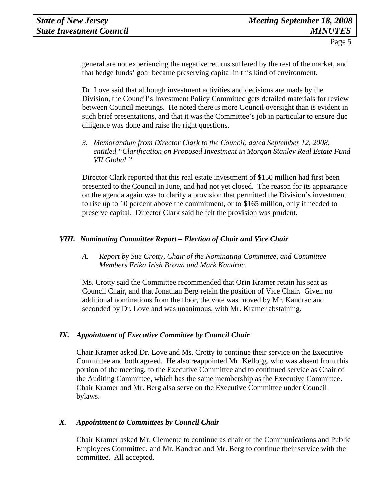general are not experiencing the negative returns suffered by the rest of the market, and that hedge funds' goal became preserving capital in this kind of environment.

Dr. Love said that although investment activities and decisions are made by the Division, the Council's Investment Policy Committee gets detailed materials for review between Council meetings. He noted there is more Council oversight than is evident in such brief presentations, and that it was the Committee's job in particular to ensure due diligence was done and raise the right questions.

*3. Memorandum from Director Clark to the Council, dated September 12, 2008, entitled "Clarification on Proposed Investment in Morgan Stanley Real Estate Fund VII Global."* 

Director Clark reported that this real estate investment of \$150 million had first been presented to the Council in June, and had not yet closed. The reason for its appearance on the agenda again was to clarify a provision that permitted the Division's investment to rise up to 10 percent above the commitment, or to \$165 million, only if needed to preserve capital. Director Clark said he felt the provision was prudent.

## *VIII. Nominating Committee Report – Election of Chair and Vice Chair*

*A. Report by Sue Crotty, Chair of the Nominating Committee, and Committee Members Erika Irish Brown and Mark Kandrac.* 

Ms. Crotty said the Committee recommended that Orin Kramer retain his seat as Council Chair, and that Jonathan Berg retain the position of Vice Chair. Given no additional nominations from the floor, the vote was moved by Mr. Kandrac and seconded by Dr. Love and was unanimous, with Mr. Kramer abstaining.

## *IX. Appointment of Executive Committee by Council Chair*

Chair Kramer asked Dr. Love and Ms. Crotty to continue their service on the Executive Committee and both agreed. He also reappointed Mr. Kellogg, who was absent from this portion of the meeting, to the Executive Committee and to continued service as Chair of the Auditing Committee, which has the same membership as the Executive Committee. Chair Kramer and Mr. Berg also serve on the Executive Committee under Council bylaws.

## *X. Appointment to Committees by Council Chair*

Chair Kramer asked Mr. Clemente to continue as chair of the Communications and Public Employees Committee, and Mr. Kandrac and Mr. Berg to continue their service with the committee. All accepted.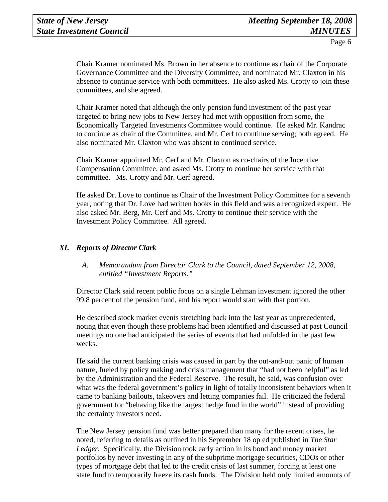Chair Kramer nominated Ms. Brown in her absence to continue as chair of the Corporate Governance Committee and the Diversity Committee, and nominated Mr. Claxton in his absence to continue service with both committees. He also asked Ms. Crotty to join these committees, and she agreed.

Chair Kramer noted that although the only pension fund investment of the past year targeted to bring new jobs to New Jersey had met with opposition from some, the Economically Targeted Investments Committee would continue. He asked Mr. Kandrac to continue as chair of the Committee, and Mr. Cerf to continue serving; both agreed. He also nominated Mr. Claxton who was absent to continued service.

Chair Kramer appointed Mr. Cerf and Mr. Claxton as co-chairs of the Incentive Compensation Committee, and asked Ms. Crotty to continue her service with that committee. Ms. Crotty and Mr. Cerf agreed.

He asked Dr. Love to continue as Chair of the Investment Policy Committee for a seventh year, noting that Dr. Love had written books in this field and was a recognized expert. He also asked Mr. Berg, Mr. Cerf and Ms. Crotty to continue their service with the Investment Policy Committee. All agreed.

# *XI. Reports of Director Clark*

## *A. Memorandum from Director Clark to the Council, dated September 12, 2008, entitled "Investment Reports."*

Director Clark said recent public focus on a single Lehman investment ignored the other 99.8 percent of the pension fund, and his report would start with that portion.

He described stock market events stretching back into the last year as unprecedented, noting that even though these problems had been identified and discussed at past Council meetings no one had anticipated the series of events that had unfolded in the past few weeks.

He said the current banking crisis was caused in part by the out-and-out panic of human nature, fueled by policy making and crisis management that "had not been helpful" as led by the Administration and the Federal Reserve. The result, he said, was confusion over what was the federal government's policy in light of totally inconsistent behaviors when it came to banking bailouts, takeovers and letting companies fail. He criticized the federal government for "behaving like the largest hedge fund in the world" instead of providing the certainty investors need.

The New Jersey pension fund was better prepared than many for the recent crises, he noted, referring to details as outlined in his September 18 op ed published in *The Star Ledger.* Specifically, the Division took early action in its bond and money market portfolios by never investing in any of the subprime mortgage securities, CDOs or other types of mortgage debt that led to the credit crisis of last summer, forcing at least one state fund to temporarily freeze its cash funds. The Division held only limited amounts of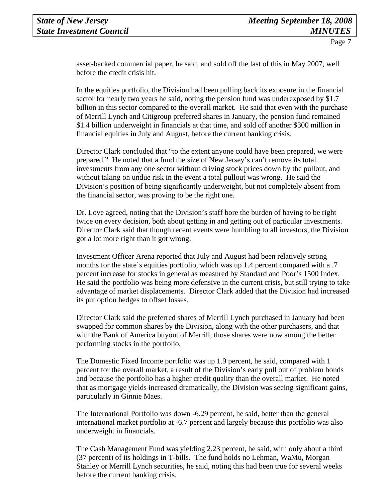asset-backed commercial paper, he said, and sold off the last of this in May 2007, well before the credit crisis hit.

In the equities portfolio, the Division had been pulling back its exposure in the financial sector for nearly two years he said, noting the pension fund was underexposed by \$1.7 billion in this sector compared to the overall market. He said that even with the purchase of Merrill Lynch and Citigroup preferred shares in January, the pension fund remained \$1.4 billion underweight in financials at that time, and sold off another \$300 million in financial equities in July and August, before the current banking crisis.

Director Clark concluded that "to the extent anyone could have been prepared, we were prepared." He noted that a fund the size of New Jersey's can't remove its total investments from any one sector without driving stock prices down by the pullout, and without taking on undue risk in the event a total pullout was wrong. He said the Division's position of being significantly underweight, but not completely absent from the financial sector, was proving to be the right one.

Dr. Love agreed, noting that the Division's staff bore the burden of having to be right twice on every decision, both about getting in and getting out of particular investments. Director Clark said that though recent events were humbling to all investors, the Division got a lot more right than it got wrong.

Investment Officer Arena reported that July and August had been relatively strong months for the state's equities portfolio, which was up 1.4 percent compared with a .7 percent increase for stocks in general as measured by Standard and Poor's 1500 Index. He said the portfolio was being more defensive in the current crisis, but still trying to take advantage of market displacements. Director Clark added that the Division had increased its put option hedges to offset losses.

Director Clark said the preferred shares of Merrill Lynch purchased in January had been swapped for common shares by the Division, along with the other purchasers, and that with the Bank of America buyout of Merrill, those shares were now among the better performing stocks in the portfolio.

The Domestic Fixed Income portfolio was up 1.9 percent, he said, compared with 1 percent for the overall market, a result of the Division's early pull out of problem bonds and because the portfolio has a higher credit quality than the overall market. He noted that as mortgage yields increased dramatically, the Division was seeing significant gains, particularly in Ginnie Maes.

The International Portfolio was down -6.29 percent, he said, better than the general international market portfolio at -6.7 percent and largely because this portfolio was also underweight in financials.

The Cash Management Fund was yielding 2.23 percent, he said, with only about a third (37 percent) of its holdings in T-bills. The fund holds no Lehman, WaMu, Morgan Stanley or Merrill Lynch securities, he said, noting this had been true for several weeks before the current banking crisis.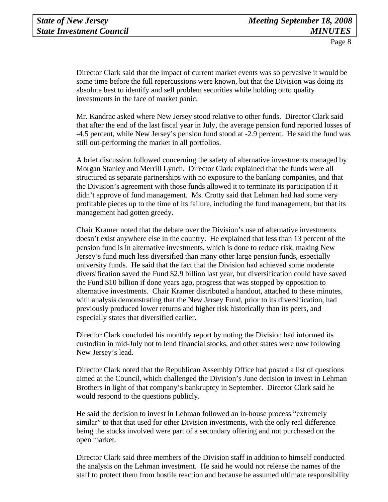Director Clark said that the impact of current market events was so pervasive it would be some time before the full repercussions were known, but that the Division was doing its absolute best to identify and sell problem securities while holding onto quality investments in the face of market panic.

Mr. Kandrac asked where New Jersey stood relative to other funds. Director Clark said that after the end of the last fiscal year in July, the average pension fund reported losses of -4.5 percent, while New Jersey's pension fund stood at -2.9 percent. He said the fund was still out-performing the market in all portfolios.

A brief discussion followed concerning the safety of alternative investments managed by Morgan Stanley and Merrill Lynch. Director Clark explained that the funds were all structured as separate partnerships with no exposure to the banking companies, and that the Division's agreement with those funds allowed it to terminate its participation if it didn't approve of fund management. Ms. Crotty said that Lehman had had some very profitable pieces up to the time of its failure, including the fund management, but that its management had gotten greedy.

Chair Kramer noted that the debate over the Division's use of alternative investments doesn't exist anywhere else in the country. He explained that less than 13 percent of the pension fund is in alternative investments, which is done to reduce risk, making New Jersey's fund much less diversified than many other large pension funds, especially university funds. He said that the fact that the Division had achieved some moderate diversification saved the Fund \$2.9 billion last year, but diversification could have saved the Fund \$10 billion if done years ago, progress that was stopped by opposition to alternative investments. Chair Kramer distributed a handout, attached to these minutes, with analysis demonstrating that the New Jersey Fund, prior to its diversification, had previously produced lower returns and higher risk historically than its peers, and especially states that diversified earlier.

Director Clark concluded his monthly report by noting the Division had informed its custodian in mid-July not to lend financial stocks, and other states were now following New Jersey's lead.

Director Clark noted that the Republican Assembly Office had posted a list of questions aimed at the Council, which challenged the Division's June decision to invest in Lehman Brothers in light of that company's bankruptcy in September. Director Clark said he would respond to the questions publicly.

He said the decision to invest in Lehman followed an in-house process "extremely similar" to that that used for other Division investments, with the only real difference being the stocks involved were part of a secondary offering and not purchased on the open market.

Director Clark said three members of the Division staff in addition to himself conducted the analysis on the Lehman investment. He said he would not release the names of the staff to protect them from hostile reaction and because he assumed ultimate responsibility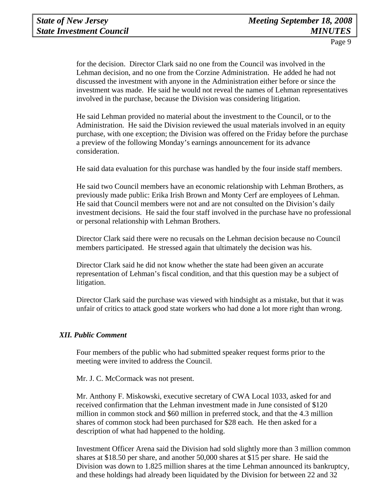for the decision. Director Clark said no one from the Council was involved in the Lehman decision, and no one from the Corzine Administration. He added he had not discussed the investment with anyone in the Administration either before or since the investment was made. He said he would not reveal the names of Lehman representatives involved in the purchase, because the Division was considering litigation.

He said Lehman provided no material about the investment to the Council, or to the Administration. He said the Division reviewed the usual materials involved in an equity purchase, with one exception; the Division was offered on the Friday before the purchase a preview of the following Monday's earnings announcement for its advance consideration.

He said data evaluation for this purchase was handled by the four inside staff members.

He said two Council members have an economic relationship with Lehman Brothers, as previously made public: Erika Irish Brown and Monty Cerf are employees of Lehman. He said that Council members were not and are not consulted on the Division's daily investment decisions. He said the four staff involved in the purchase have no professional or personal relationship with Lehman Brothers.

Director Clark said there were no recusals on the Lehman decision because no Council members participated. He stressed again that ultimately the decision was his.

Director Clark said he did not know whether the state had been given an accurate representation of Lehman's fiscal condition, and that this question may be a subject of litigation.

Director Clark said the purchase was viewed with hindsight as a mistake, but that it was unfair of critics to attack good state workers who had done a lot more right than wrong.

## *XII. Public Comment*

Four members of the public who had submitted speaker request forms prior to the meeting were invited to address the Council.

Mr. J. C. McCormack was not present.

Mr. Anthony F. Miskowski, executive secretary of CWA Local 1033, asked for and received confirmation that the Lehman investment made in June consisted of \$120 million in common stock and \$60 million in preferred stock, and that the 4.3 million shares of common stock had been purchased for \$28 each. He then asked for a description of what had happened to the holding.

Investment Officer Arena said the Division had sold slightly more than 3 million common shares at \$18.50 per share, and another 50,000 shares at \$15 per share. He said the Division was down to 1.825 million shares at the time Lehman announced its bankruptcy, and these holdings had already been liquidated by the Division for between 22 and 32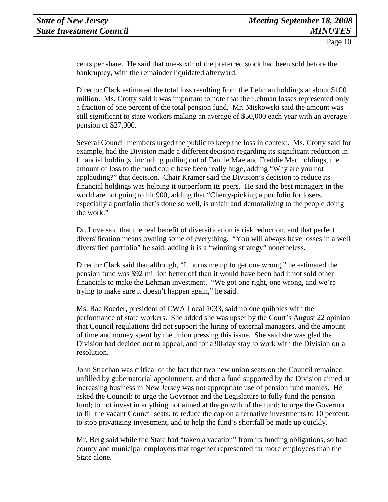cents per share. He said that one-sixth of the preferred stock had been sold before the bankruptcy, with the remainder liquidated afterward.

Director Clark estimated the total loss resulting from the Lehman holdings at about \$100 million. Ms. Crotty said it was important to note that the Lehman losses represented only a fraction of one percent of the total pension fund. Mr. Miskowski said the amount was still significant to state workers making an average of \$50,000 each year with an average pension of \$27,000.

Several Council members urged the public to keep the loss in context. Ms. Crotty said for example, had the Division made a different decision regarding its significant reduction in financial holdings, including pulling out of Fannie Mae and Freddie Mac holdings, the amount of loss to the fund could have been really huge, adding "Why are you not applauding?" that decision. Chair Kramer said the Division's decision to reduce its financial holdings was helping it outperform its peers. He said the best managers in the world are not going to hit 900, adding that "Cherry-picking a portfolio for losers, especially a portfolio that's done so well, is unfair and demoralizing to the people doing the work."

Dr. Love said that the real benefit of diversification is risk reduction, and that perfect diversification means owning some of everything. "You will always have losses in a well diversified portfolio" he said, adding it is a "winning strategy" nonetheless.

Director Clark said that although, "It burns me up to get one wrong," he estimated the pension fund was \$92 million better off than it would have been had it not sold other financials to make the Lehman investment. "We got one right, one wrong, and we're trying to make sure it doesn't happen again," he said.

Ms. Rae Roeder, president of CWA Local 1033, said no one quibbles with the performance of state workers. She added she was upset by the Court's August 22 opinion that Council regulations did not support the hiring of external managers, and the amount of time and money spent by the union pressing this issue. She said she was glad the Division had decided not to appeal, and for a 90-day stay to work with the Division on a resolution.

John Strachan was critical of the fact that two new union seats on the Council remained unfilled by gubernatorial appointment, and that a fund supported by the Division aimed at increasing business in New Jersey was not appropriate use of pension fund monies. He asked the Council: to urge the Governor and the Legislature to fully fund the pension fund; to not invest in anything not aimed at the growth of the fund; to urge the Governor to fill the vacant Council seats; to reduce the cap on alternative investments to 10 percent; to stop privatizing investment, and to help the fund's shortfall be made up quickly.

Mr. Berg said while the State had "taken a vacation" from its funding obligations, so had county and municipal employers that together represented far more employees than the State alone.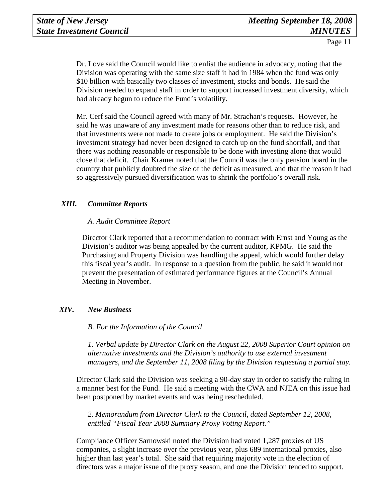Dr. Love said the Council would like to enlist the audience in advocacy, noting that the Division was operating with the same size staff it had in 1984 when the fund was only \$10 billion with basically two classes of investment, stocks and bonds. He said the Division needed to expand staff in order to support increased investment diversity, which had already begun to reduce the Fund's volatility.

Mr. Cerf said the Council agreed with many of Mr. Strachan's requests. However, he said he was unaware of any investment made for reasons other than to reduce risk, and that investments were not made to create jobs or employment. He said the Division's investment strategy had never been designed to catch up on the fund shortfall, and that there was nothing reasonable or responsible to be done with investing alone that would close that deficit. Chair Kramer noted that the Council was the only pension board in the country that publicly doubted the size of the deficit as measured, and that the reason it had so aggressively pursued diversification was to shrink the portfolio's overall risk.

## *XIII. Committee Reports*

## *A. Audit Committee Report*

Director Clark reported that a recommendation to contract with Ernst and Young as the Division's auditor was being appealed by the current auditor, KPMG. He said the Purchasing and Property Division was handling the appeal, which would further delay this fiscal year's audit. In response to a question from the public, he said it would not prevent the presentation of estimated performance figures at the Council's Annual Meeting in November.

## *XIV. New Business*

 *B. For the Information of the Council* 

*1. Verbal update by Director Clark on the August 22, 2008 Superior Court opinion on alternative investments and the Division's authority to use external investment managers, and the September 11, 2008 filing by the Division requesting a partial stay.* 

Director Clark said the Division was seeking a 90-day stay in order to satisfy the ruling in a manner best for the Fund. He said a meeting with the CWA and NJEA on this issue had been postponed by market events and was being rescheduled.

*2. Memorandum from Director Clark to the Council, dated September 12, 2008, entitled "Fiscal Year 2008 Summary Proxy Voting Report."* 

Compliance Officer Sarnowski noted the Division had voted 1,287 proxies of US companies, a slight increase over the previous year, plus 689 international proxies, also higher than last year's total. She said that requiring majority vote in the election of directors was a major issue of the proxy season, and one the Division tended to support.